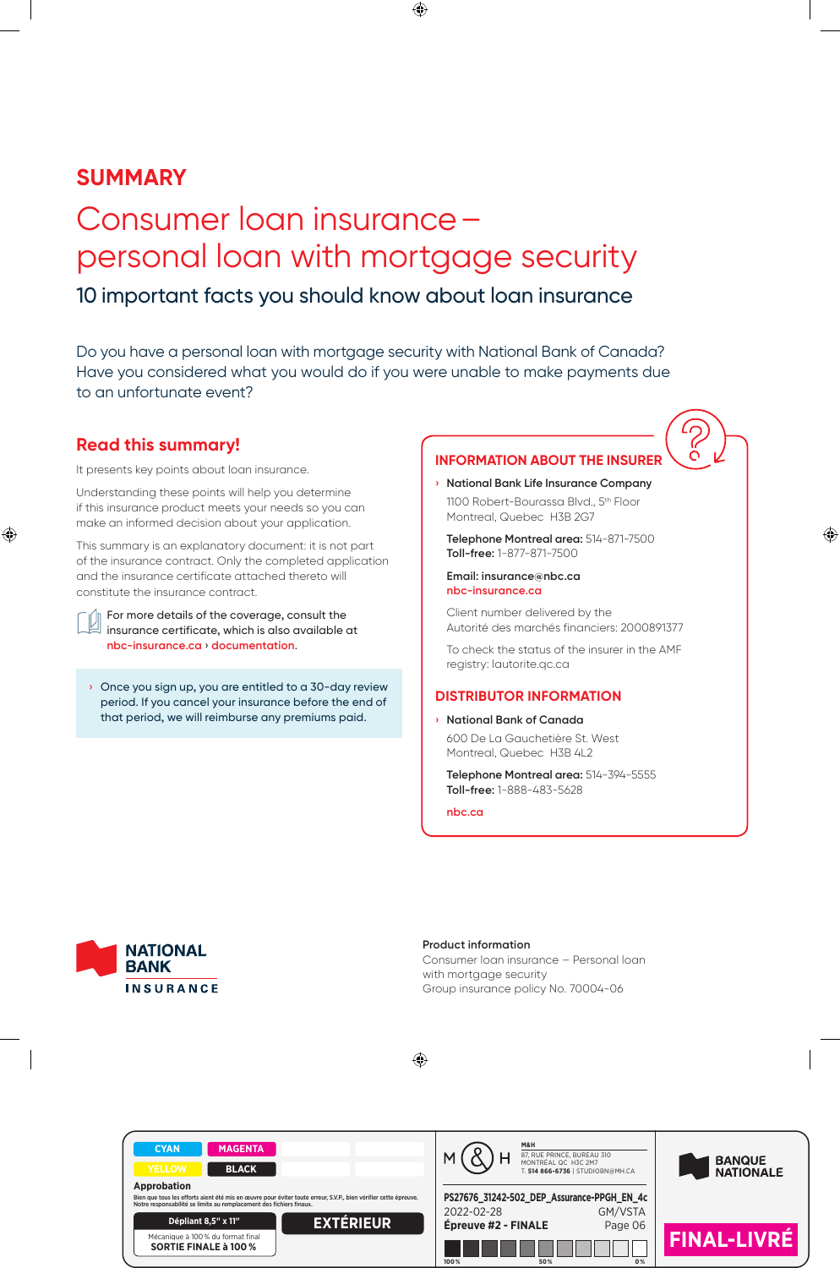# **SUMMARY**

# Consumer loan insurance – personal loan with mortgage security 10 important facts you should know about loan insurance

Do you have a personal loan with mortgage security with National Bank of Canada? Have you considered what you would do if you were unable to make payments due to an unfortunate event?

# **Read this summary!**

It presents key points about loan insurance.

Understanding these points will help you determine if this insurance product meets your needs so you can make an informed decision about your application.

This summary is an explanatory document: it is not part of the insurance contract. Only the completed application and the insurance certificate attached thereto will constitute the insurance contract.

For more details of the coverage, consult the insurance certificate, which is also available at **nbc-insurance.ca** › **documentation**.

› Once you sign up, you are entitled to a 30-day review period. If you cancel your insurance before the end of that period, we will reimburse any premiums paid.

# **INFORMATION ABOUT THE INSURER**

**› National Bank Life Insurance Company** 1100 Robert-Bourassa Blvd., 5<sup>th</sup> Floor Montreal, Quebec H3B 2G7

**Telephone Montreal area:** 514-871-7500 **Toll-free:** 1-877-871-7500

#### **Email: insurance@nbc.ca nbc-insurance.ca**

Client number delivered by the Autorité des marchés financiers: 2000891377

To check the status of the insurer in the AMF registry: lautorite.qc.ca

## **DISTRIBUTOR INFORMATION**

**› National Bank of Canada** 600 De La Gauchetière St. West Montreal, Quebec H3B 4L2

**Telephone Montreal area:** 514-394-5555 **Toll-free:** 1-888-483-5628

**nbc.ca**



**Product information** Consumer loan insurance – Personal loan with mortgage security Group insurance policy No. 70004-06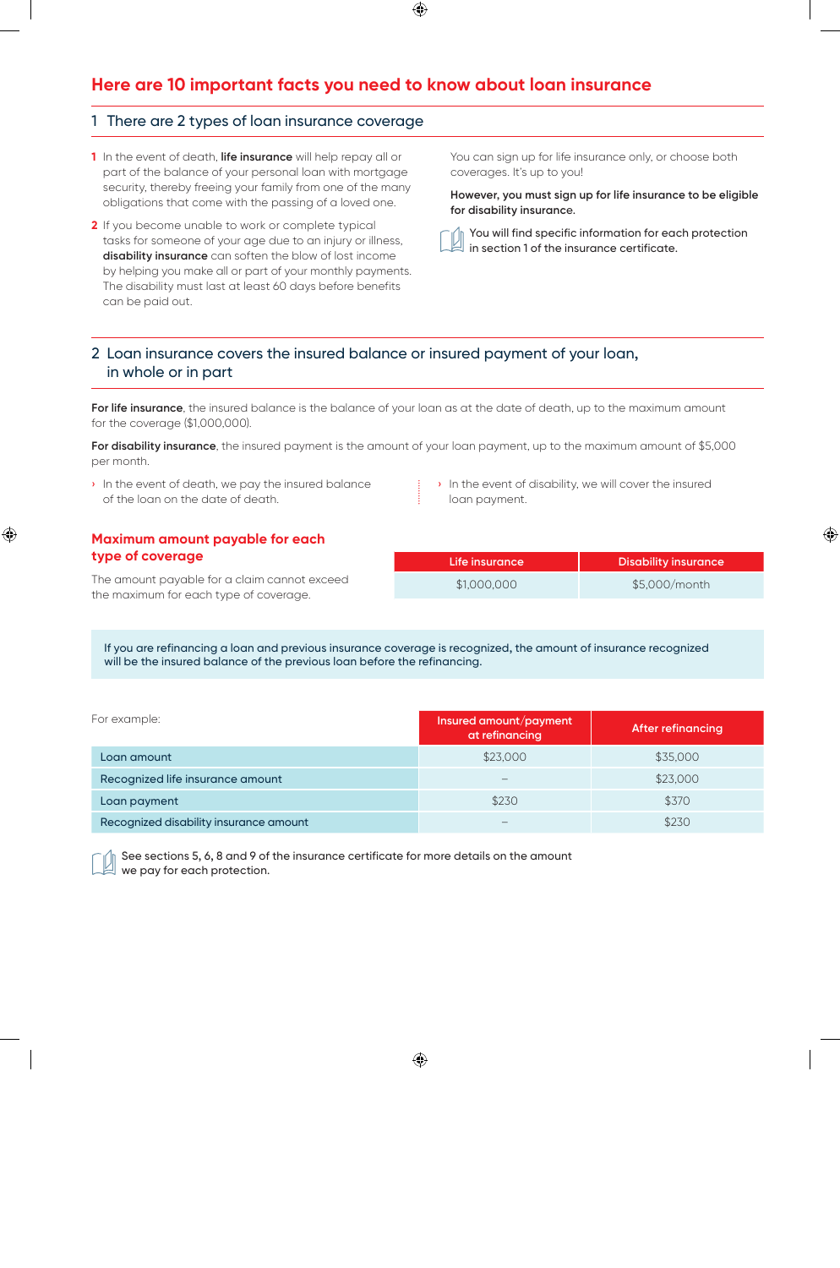# **Here are 10 important facts you need to know about loan insurance**

### 1 There are 2 types of loan insurance coverage

- **1** In the event of death, **life insurance** will help repay all or part of the balance of your personal loan with mortgage security, thereby freeing your family from one of the many obligations that come with the passing of a loved one.
- **2** If you become unable to work or complete typical tasks for someone of your age due to an injury or illness, **disability insurance** can soften the blow of lost income by helping you make all or part of your monthly payments. The disability must last at least 60 days before benefits can be paid out.

You can sign up for life insurance only, or choose both coverages. It's up to you!

**However, you must sign up for life insurance to be eligible for disability insuranc**e.

You will find specific information for each protection in section 1 of the insurance certificate.

# 2 Loan insurance covers the insured balance or insured payment of your loan, in whole or in part

For life insurance, the insured balance is the balance of your loan as at the date of death, up to the maximum amount for the coverage (\$1,000,000).

**For disability insurance**, the insured payment is the amount of your loan payment, up to the maximum amount of \$5,000 per month.

- › In the event of death, we pay the insured balance of the loan on the date of death.
- › In the event of disability, we will cover the insured loan payment.

### **Maximum amount payable for each type of coverage**

The amount payable for a claim cannot exceed the maximum for each type of coverage.

| Life insurance | <b>Disability insurance</b> |  |
|----------------|-----------------------------|--|
| \$1,000,000    | \$5,000/month               |  |

If you are refinancing a loan and previous insurance coverage is recognized, the amount of insurance recognized will be the insured balance of the previous loan before the refinancing.

| For example:                           | Insured amount/payment<br>at refinancing | <b>After refinancing</b> |
|----------------------------------------|------------------------------------------|--------------------------|
| Loan amount                            | \$23,000                                 | \$35,000                 |
| Recognized life insurance amount       |                                          | \$23,000                 |
| Loan payment                           | \$230                                    | \$370                    |
| Recognized disability insurance amount |                                          | \$230                    |

See sections 5, 6, 8 and 9 of the insurance certificate for more details on the amount we pay for each protection.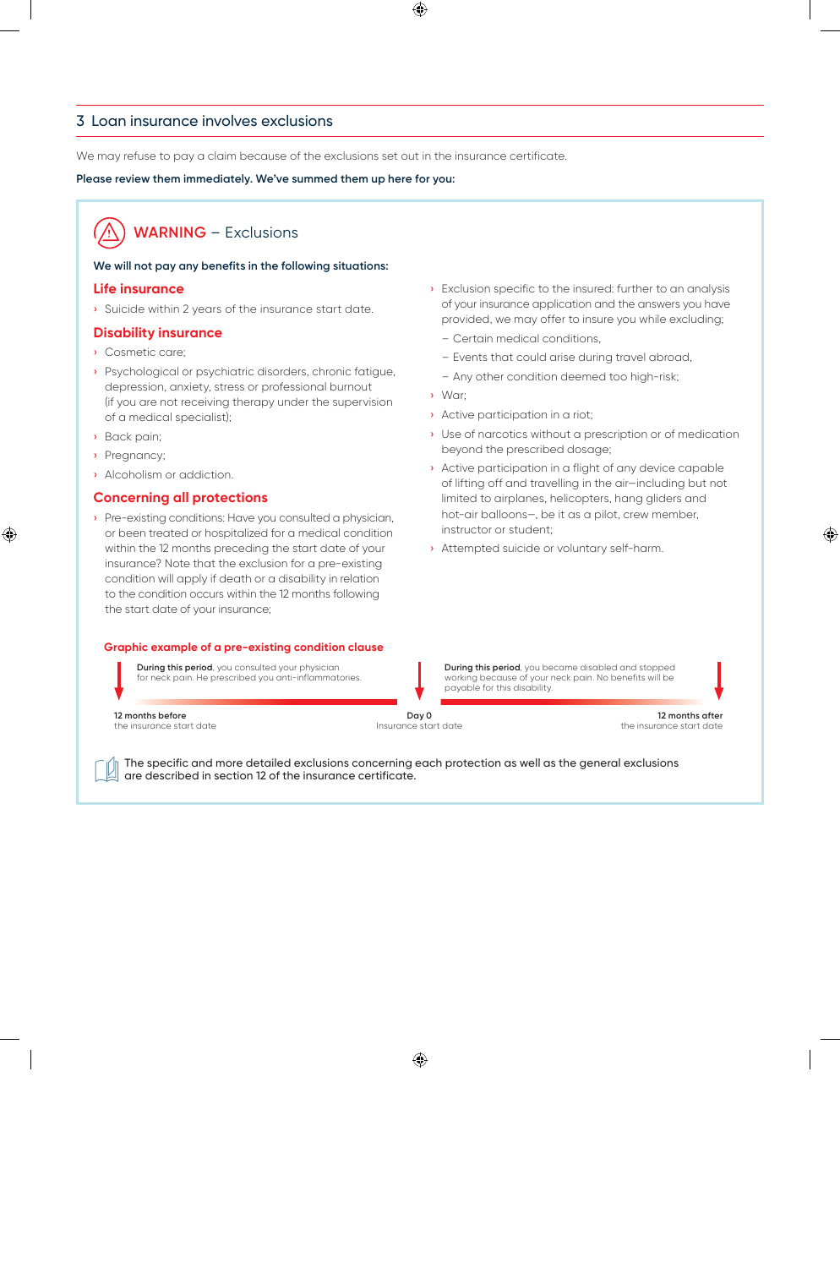### 3 Loan insurance involves exclusions

We may refuse to pay a claim because of the exclusions set out in the insurance certificate.

#### **Please review them immediately. We've summed them up here for you:**

# **WARNING** – Exclusions

#### **We will not pay any benefits in the following situations:**

#### **Life insurance**

› Suicide within 2 years of the insurance start date.

#### **Disability insurance**

- › Cosmetic care;
- › Psychological or psychiatric disorders, chronic fatigue, depression, anxiety, stress or professional burnout (if you are not receiving therapy under the supervision of a medical specialist);
- › Back pain;
- › Pregnancy;
- › Alcoholism or addiction.

### **Concerning all protections**

› Pre-existing conditions: Have you consulted a physician, or been treated or hospitalized for a medical condition within the 12 months preceding the start date of your insurance? Note that the exclusion for a pre-existing condition will apply if death or a disability in relation to the condition occurs within the 12 months following the start date of your insurance;

#### **Graphic example of a pre-existing condition clause**

**During this period**, you consulted your physician for neck pain. He prescribed you anti-inflammatories.

- › Exclusion specific to the insured: further to an analysis of your insurance application and the answers you have provided, we may offer to insure you while excluding;
	- Certain medical conditions,
	- Events that could arise during travel abroad,
	- Any other condition deemed too high-risk;
- › War;
- › Active participation in a riot;
- › Use of narcotics without a prescription or of medication beyond the prescribed dosage;
- › Active participation in a flight of any device capable of lifting off and travelling in the air—including but not limited to airplanes, helicopters, hang gliders and hot-air balloons—, be it as a pilot, crew member, instructor or student;
- › Attempted suicide or voluntary self-harm.

**During this period**, you became disabled and stopped working because of your neck pain. No benefits will be payable for this disability.

**12 months before**  the insurance start date

**Day 0** Insurance start date

**12 months after** the insurance start date

The specific and more detailed exclusions concerning each protection as well as the general exclusions are described in section 12 of the insurance certificate.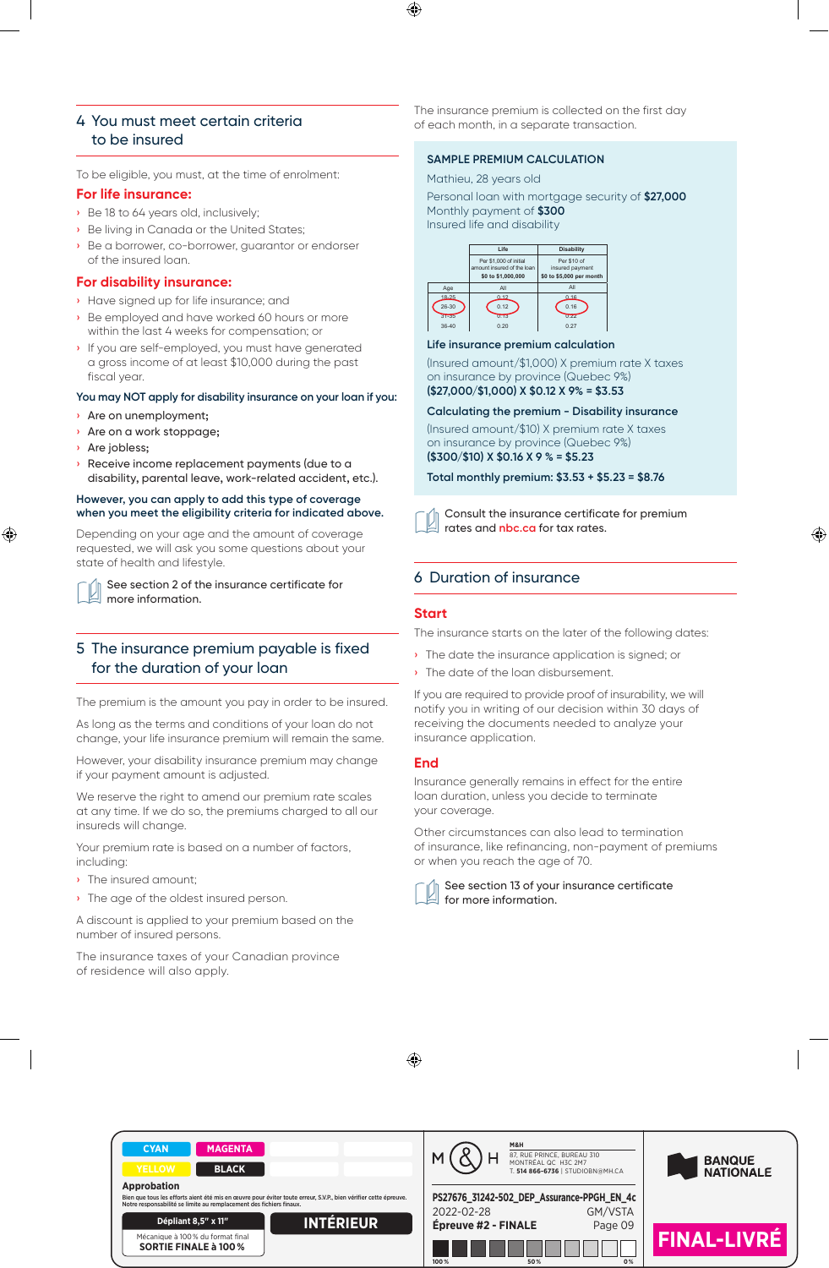#### 4 You must meet certain criteria to be insured 10.2 Votre prime d'assurance est incluse dans votre versement hypothécaire\*

To be eligible, you must, at the time of enrolment: Mathieu 28 vears old

#### **For life insurance:**

- Be 18 to 64 years old, inclusively; 10.3 Tableau des taux des taux des taux des taux des taux des taux des taux des pour le prêt hypothécaires pou<br>10.3 Tableau des taux des taux des taux des taux des taux des taux des taux des taux des taux des taux des tau
- $\rightarrow$  Be living in Canada or the United States;
- › Be a borrower, co-borrower, guarantor or endorser of the insured loan.

#### **For disability insurance:**

- $\frac{1}{\sqrt{2}}$  Have signed up for life insurance; and  $\frac{1}{\sqrt{2}}$  or  $\frac{1}{\sqrt{2}}$  or  $\frac{1}{\sqrt{2}}$  or  $\frac{1}{\sqrt{2}}$
- iii Be employed and have worked 60 hours or more **31-35 1.13 0.12** 0.13 0.22 within the last 4 weeks for compensation; or  $\begin{array}{c|c} \mid & 36-40 & | & 0.20 & | & 0.27 \end{array}$  $\frac{1}{2}$
- › If you are self-employed, you must have generated a gross income of at least \$10,000 during the past (Insured amount/\$1,000) X p fiscal year.

#### **You may NOT apply for disability insurance on your loan if you:** The

- › Are on unemployment;
- › Are on a work stoppage;
- › Are jobless;
- $\lambda$  Receive income replacement payments (due to a<br> $\lambda$ nouvelle mouvelle appliquent : parameter and calcule to a<br>disability, parental leave, work-related accident, etc.). Total n

#### **However, you can apply to add this type of coverage in refinance and antical connact connaître votes non admi when you meet the eligibility criteria for indicated above.**

Depending on your age and the amount of coverage requested, we will ask you some questions about your state of health and lifestyle.

See section 2 of the insurance certificate for **démarche de la faire de la faire.** Lorsque de la grande de march more information. écrit si nous sommes en mesure ou non de reconnaître votre assurance antérieure.

# 5 The insurance premium payable is fixed for the duration of your loan

The premium is the amount you pay in order to be insured.

As long as the terms and conditions of your loan do not change, your life insurance premium will remain the same.

However, your disability insurance premium may change if your payment amount is adjusted.

We reserve the right to amend our premium rate scales at any time. If we do so, the premiums charged to all our insureds will change.

Your premium rate is based on a number of factors, including:

- › The insured amount;
- › The age of the oldest insured person.

A discount is applied to your premium based on the number of insured persons.

The insurance taxes of your Canadian province of residence will also apply.

The insurance premium is collected on the first day of each month, in a separate transaction.

#### **SAMPLE PREMIUM CALCULATION**

time of enrolment: Mathieu, 28 years old and the contract of the contract of the contract of the contract of t

Personal loan with mortgage security of \$27,000 ely; example and the Monthly payment of \$300 million and the same state of the state of the state of the state of  $\sim$ Insured life and disability



#### **Life insurance premium calculation After insurance premium calculation**

10.4 Nous remboursons les primes perçues dans certaines situations

nood during the past (Insured amount/\$1,000) X premium rate X taxes con insurance by province (Quebec 9%) and the state of the state of the state of the state of the state of the state of the state of the state of the state of the state of the state of the state of the state of the state o  $($ \$27,000/\$1,000) X \$0.12 X 9% = \$3.53

# Calculating the premium - Disability insurance

(Insured amount/\$10) X premium rate X taxes **11. Position of the UNER BUNDANCE (Quebec 9%) (\$300/\$10) X \$0.16 X 9 % = \$5.23** Lorsque vous refinancez votre prêt, vous devez signer une nouvelle proposition d'assurance pour nous permettre d'évaluer si nous sommes Lorsque vous refinancez votre prêt, vous devez signer une nouvelle proposition d'assurance pour nous permettre d'évaluer sinous sommes en moarancer a y premier toujours en mesure de vous assurer pour ce nouveau montant. L'assurance sur votre prêt actuel est alors terminée, et les conditions de la **11. LORS D'UN REFINANCEMENT, VOUS DEVEZ SIGNER UNE NOUVELLE PROPOSITION D'ASSURANCE**

Total monthly premium: \$3.53 + \$5.23 = \$8.76

iteria for indicated above.  $\hskip1cm \fbox{and} \quad$  Consult the insurance certificate for premium a amount of coverage and **rates** and **nbc.ca** for tax rates.

#### ance certificate for 6 Duration of insurance Vous n'avez aucune démarche à faire. Lorsque nous recevons votre nouvelle demande d'assurance, nous l'étudions et nous vous avisons par

#### **Start**

The insurance starts on the later of the following dates:

› The date the insurance application is signed; or

écrit si nous sommes en mesure ou non de reconnaître votre assurance antérieure.

• The date of the loan disbursement.

If you are required to provide proof of insurability, we will notify you in writing of our decision within 30 days of receiving the documents needed to analyze your insurance application.

#### **End**

Insurance generally remains in effect for the entire loan duration, unless you decide to terminate your coverage.

Other circumstances can also lead to termination of insurance, like refinancing, non-payment of premiums or when you reach the age of 70.



See section 13 of your insurance certificate for more information.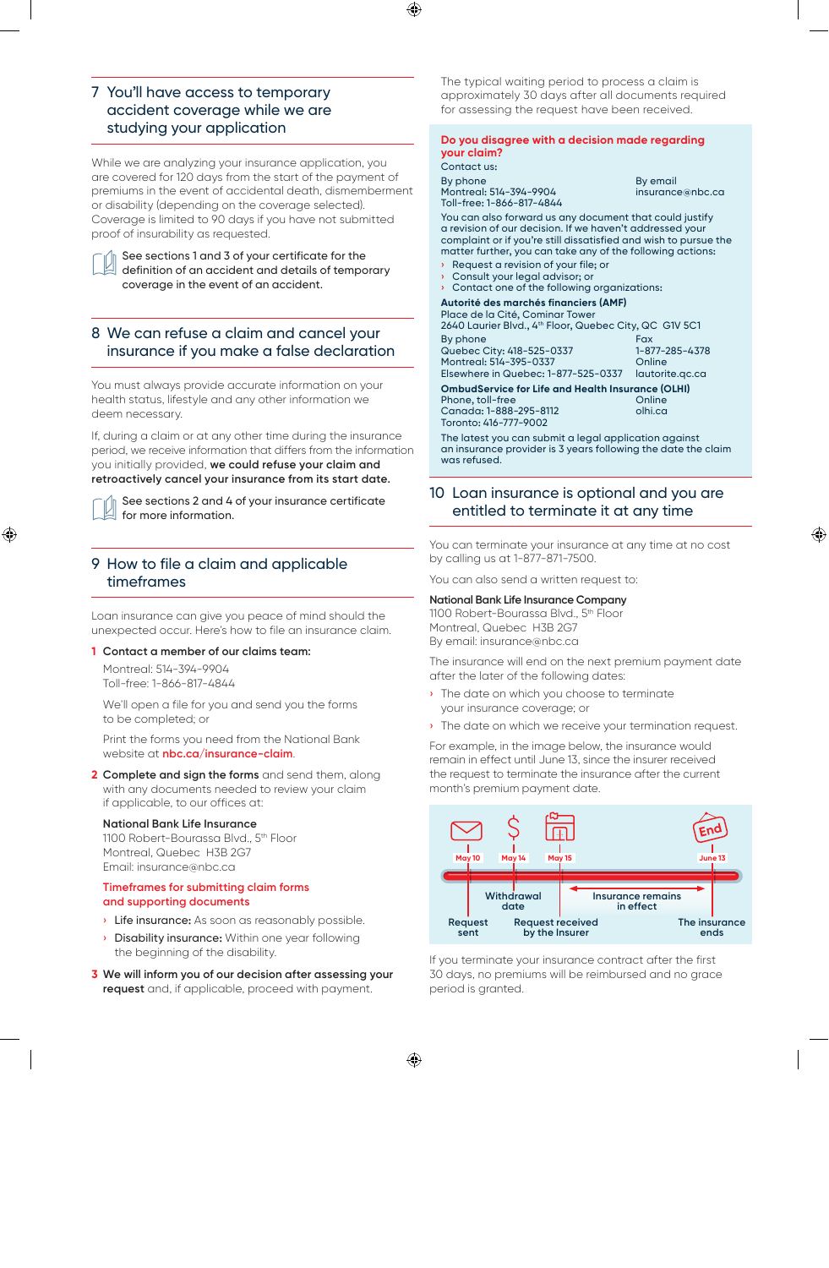# 7 You'll have access to temporary accident coverage while we are studying your application

While we are analyzing your insurance application, you are covered for 120 days from the start of the payment of premiums in the event of accidental death, dismemberment or disability (depending on the coverage selected). Coverage is limited to 90 days if you have not submitted proof of insurability as requested.

See sections 1 and 3 of your certificate for the definition of an accident and details of temporary coverage in the event of an accident.

# 8 We can refuse a claim and cancel your insurance if you make a false declaration

You must always provide accurate information on your health status, lifestyle and any other information we deem necessary.

If, during a claim or at any other time during the insurance period, we receive information that differs from the information you initially provided, **we could refuse your claim and retroactively cancel your insurance from its start date.**

See sections 2 and 4 of your insurance certificate for more information.

# 9 How to file a claim and applicable timeframes

Loan insurance can give you peace of mind should the unexpected occur. Here's how to file an insurance claim.

#### **1 Contact a member of our claims team:**

Montreal: 514-394-9904 Toll-free: 1-866-817-4844

We'll open a file for you and send you the forms to be completed; or

Print the forms you need from the National Bank website at **nbc.ca/insurance-claim**.

**2 Complete and sign the forms** and send them, along with any documents needed to review your claim if applicable, to our offices at:

#### **National Bank Life Insurance**

1100 Robert-Bourassa Blvd., 5th Floor Montreal, Quebec H3B 2G7 Email: insurance@nbc.ca

#### **Timeframes for submitting claim forms and supporting documents**

- **Life insurance:** As soon as reasonably possible.
- **Disability insurance:** Within one year following the beginning of the disability.
- **3 We will inform you of our decision after assessing your request** and, if applicable, proceed with payment.

The typical waiting period to process a claim is approximately 30 days after all documents required for assessing the request have been received.

#### **Do you disagree with a decision made regarding your claim?**

Contact us: By phone By email Montreal: 514-394-9904

Toll-free: 1-866-817-4844

You can also forward us any document that could justify a revision of our decision. If we haven't addressed your complaint or if you're still dissatisfied and wish to pursue the matter further, you can take any of the following actions:

- **›** Request a revision of your file; or
- **›** Consult your legal advisor; or
- **›** Contact one of the following organizations:

### **Autorité des marchés financiers (AMF)**

| Place de la Cité, Cominar Tower                          |                 |  |
|----------------------------------------------------------|-----------------|--|
| 2640 Laurier Blvd., 4th Floor, Quebec City, QC G1V 5C1   |                 |  |
| By phone                                                 | Fax             |  |
| Quebec City: 418-525-0337                                | 1-877-285-4378  |  |
| Montreal: 514-395-0337                                   | Online          |  |
| Elsewhere in Quebec: 1-877-525-0337                      | lautorite.gc.ca |  |
| <b>OmbudService for Life and Health Insurance (OLHI)</b> |                 |  |
| Phone, toll-free                                         |                 |  |

Canada: 1-888-295-8112 olhi.ca Toronto: 416-777-9002

The latest you can submit a legal application against an insurance provider is 3 years following the date the claim was refused.

## 10 Loan insurance is optional and you are entitled to terminate it at any time

You can terminate your insurance at any time at no cost by calling us at 1-877-871-7500.

You can also send a written request to:

#### **National Bank Life Insurance Company**

1100 Robert-Bourassa Blvd., 5th Floor Montreal, Quebec H3B 2G7 By email: insurance@nbc.ca

The insurance will end on the next premium payment date after the later of the following dates:

- › The date on which you choose to terminate your insurance coverage; or
- › The date on which we receive your termination request.

For example, in the image below, the insurance would remain in effect until June 13, since the insurer received the request to terminate the insurance after the current month's premium payment date.



If you terminate your insurance contract after the first 30 days, no premiums will be reimbursed and no grace period is granted.